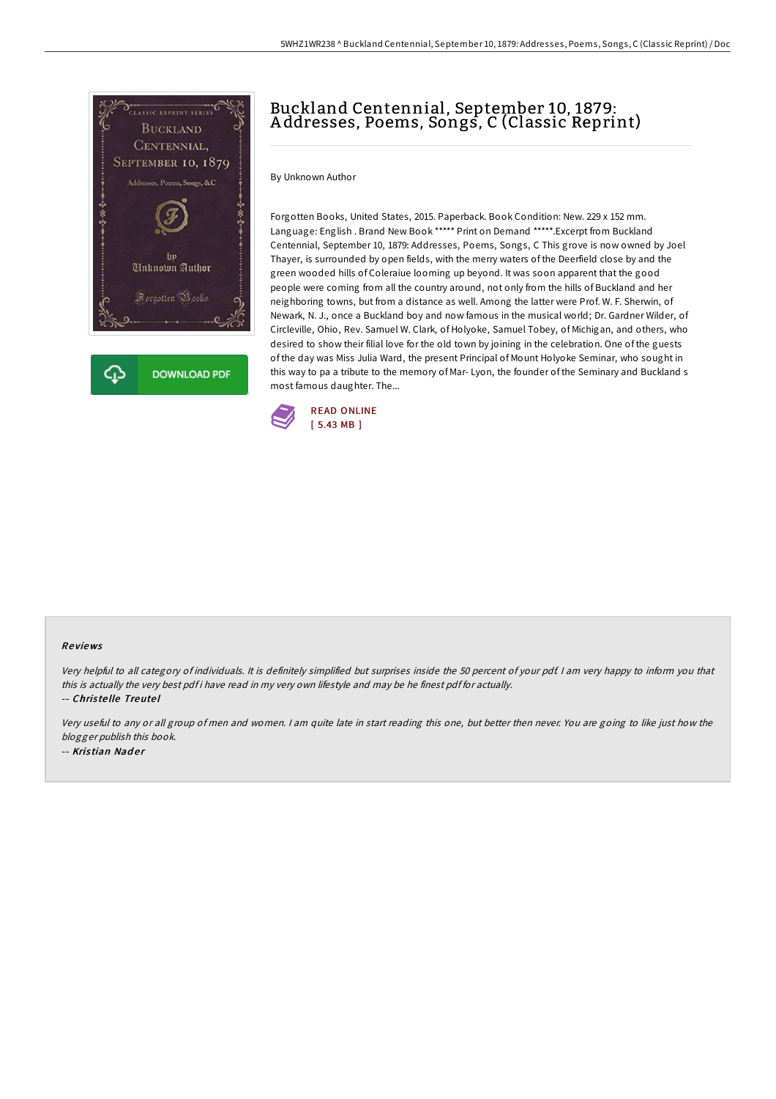

# Buckland Centennial, September 10, 1879: A ddresses, Poems, Songs, C (Classic Reprint)

By Unknown Author

Forgotten Books, United States, 2015. Paperback. Book Condition: New. 229 x 152 mm. Language: English . Brand New Book \*\*\*\*\* Print on Demand \*\*\*\*\*.Excerpt from Buckland Centennial, September 10, 1879: Addresses, Poems, Songs, C This grove is now owned by Joel Thayer, is surrounded by open fields, with the merry waters of the Deerfield close by and the green wooded hills of Coleraiue looming up beyond. It was soon apparent that the good people were coming from all the country around, not only from the hills of Buckland and her neighboring towns, but from a distance as well. Among the latter were Prof. W. F. Sherwin, of Newark, N. J., once a Buckland boy and now famous in the musical world; Dr. Gardner Wilder, of Circleville, Ohio, Rev. Samuel W. Clark, of Holyoke, Samuel Tobey, of Michigan, and others, who desired to show their filial love for the old town by joining in the celebration. One of the guests of the day was Miss Julia Ward, the present Principal of Mount Holyoke Seminar, who sought in this way to pa a tribute to the memory of Mar- Lyon, the founder of the Seminary and Buckland s most famous daughter. The...



#### Re views

Very helpful to all category of individuals. It is definitely simplified but surprises inside the 50 percent of your pdf. <sup>I</sup> am very happy to inform you that this is actually the very best pdf i have read in my very own lifestyle and may be he finest pdf for actually.

-- Chris te lle Treute l

Very useful to any or all group of men and women. <sup>I</sup> am quite late in start reading this one, but better then never. You are going to like just how the blogger publish this book. -- Kristian Nader